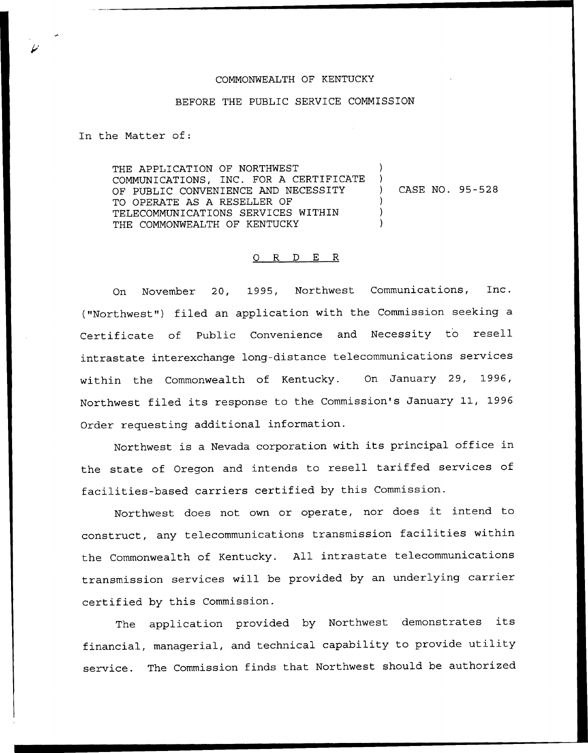## COMMONWEALTH OF KENTUCKY

## BEFORE THE PUBLIC SERVICE COMMISSION

In the Matter of:

THE APPLICATION OF NORTHWEST COMMUNICATIONS, INC. FOR A CERTIFICATE OF PUBLIC CONVENIENCE AND NECESSITY TO OPERATE AS A RESELLER OF TELECOMMUNICATIONS SERVICES WITHIN THE COMMONWEALTH OF KENTUCKY ) ) ) CASE NO. 95-528 ) ) )

## 0 R <sup>D</sup> E R

On November 20, 1995, Northwest Communications, Inc. ("Northwest") filed an application with the Commission seeking a Certificate of Public Convenience and Necessity to resell intrastate interexchange long-distance telecommunications services within the Commonwealth of Kentucky. On January 29, 1996, Northwest filed its response to the Commission's January 11, 1996 Order requesting additional information.

Northwest is <sup>a</sup> Nevada corporation with its principal office in the state of Oregon and intends to resell tariffed services of facilities-based carriers certified by this Commission.

Northwest does not own or operate, nor does it intend to construct, any telecommunications transmission facilities within the Commonwealth of Kentucky. All intrastate telecommunications transmission services will be provided by an underlying carrier certified by this Commission.

The application provided by Northwest demonstrates its financial, managerial, and technical capability to provide utility service. The Commission finds that Northwest should be authorized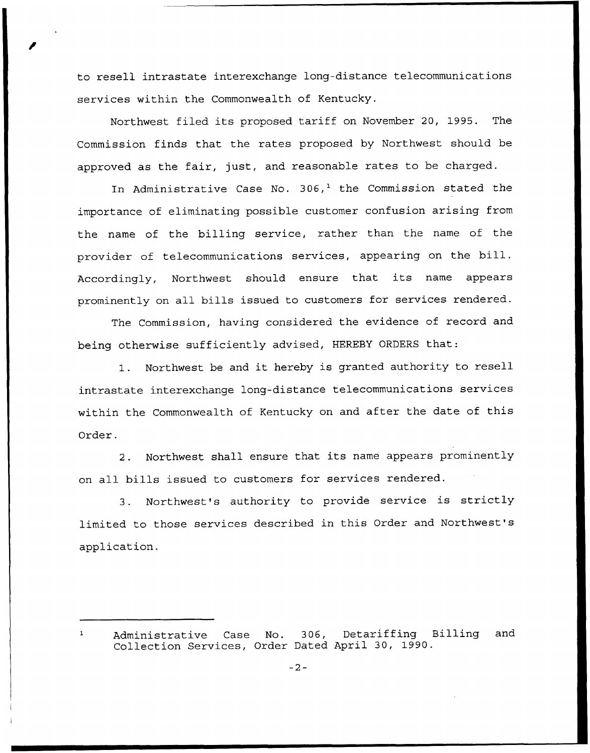to resell intrastate interexchange long-distance telecommunications services within the Commonwealth of Kentucky.

Northwest filed its proposed tariff on November 20, 1995. The Commission finds that the rates proposed by Northwest should be approved as the fair, just, and reasonable rates to be charged.

In Administrative Case No.  $306<sub>1</sub><sup>1</sup>$  the Commission stated the importance of eliminating possible customer confusion arising from the name of the billing service, rather than the name of the provider of telecommunications services, appearing on the bill. Accordingly, Northwest should ensure that its name appears prominently on all bills issued to customers for services rendered.

The Commission, having considered the evidence of record and being otherwise sufficiently advised, HEREBY ORDERS that:

1. Northwest be and it hereby is granted authority to resell intrastate interexchange long-distance telecommunications services within the Commonwealth of Kentucky on and after the date of this Order.

2. Northwest shall ensure that its name appears prominently on all bills issued to customers for services rendered.

3. Northwest's authority to provide service is strictly limited to those services described in this Order and Northwest's application.

 $\mathbf{I}$ Administrative Case No. 306, Detariffing Billing and Collection Services, Order Dated April 30, 1990.